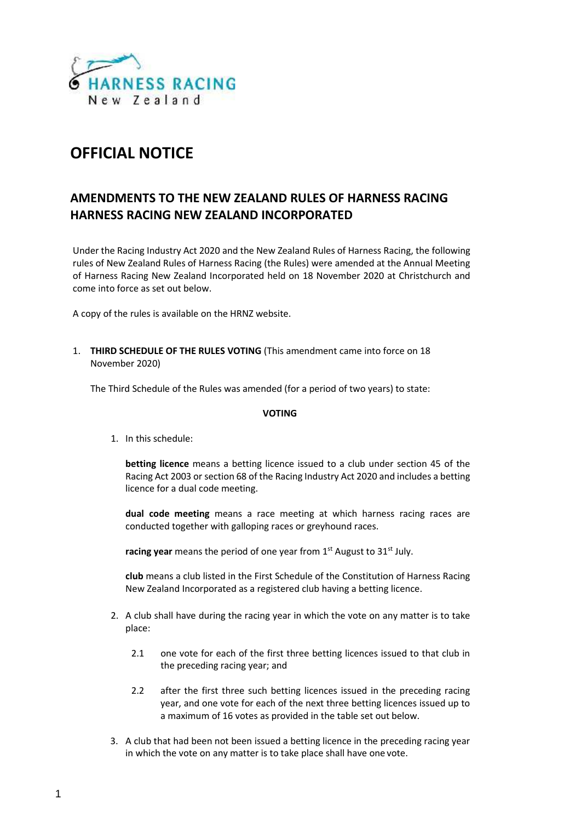

# **OFFICIAL NOTICE**

# **AMENDMENTS TO THE NEW ZEALAND RULES OF HARNESS RACING HARNESS RACING NEW ZEALAND INCORPORATED**

Under the Racing Industry Act 2020 and the New Zealand Rules of Harness Racing, the following rules of New Zealand Rules of Harness Racing (the Rules) were amended at the Annual Meeting of Harness Racing New Zealand Incorporated held on 18 November 2020 at Christchurch and come into force as set out below.

A copy of the rules is available on the HRNZ website.

1. **THIRD SCHEDULE OF THE RULES VOTING** (This amendment came into force on 18 November 2020)

The Third Schedule of the Rules was amended (for a period of two years) to state:

## **VOTING**

1. In this schedule:

**betting licence** means a betting licence issued to a club under section 45 of the Racing Act 2003 or section 68 of the Racing Industry Act 2020 and includes a betting licence for a dual code meeting.

**dual code meeting** means a race meeting at which harness racing races are conducted together with galloping races or greyhound races.

racing year means the period of one year from 1<sup>st</sup> August to 31<sup>st</sup> July.

**club** means a club listed in the First Schedule of the Constitution of Harness Racing New Zealand Incorporated as a registered club having a betting licence.

- 2. A club shall have during the racing year in which the vote on any matter is to take place:
	- 2.1 one vote for each of the first three betting licences issued to that club in the preceding racing year; and
	- 2.2 after the first three such betting licences issued in the preceding racing year, and one vote for each of the next three betting licences issued up to a maximum of 16 votes as provided in the table set out below.
- 3. A club that had been not been issued a betting licence in the preceding racing year in which the vote on any matter is to take place shall have one vote.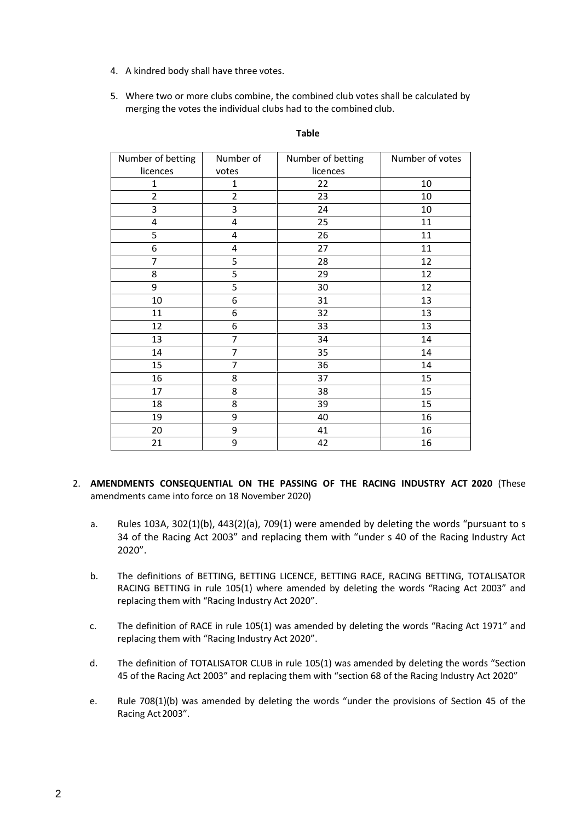- 4. A kindred body shall have three votes.
- 5. Where two or more clubs combine, the combined club votes shall be calculated by merging the votes the individual clubs had to the combined club.

| Number of betting       | Number of      | Number of betting | Number of votes |
|-------------------------|----------------|-------------------|-----------------|
| licences                | votes          | licences          |                 |
| $\mathbf{1}$            | $\mathbf{1}$   | 22                | 10              |
| $\overline{2}$          | $\overline{2}$ | 23                | 10              |
| 3                       | 3              | 24                | 10              |
| $\overline{\mathbf{4}}$ | $\overline{4}$ | 25                | 11              |
| 5                       | 4              | 26                | 11              |
| 6                       | $\overline{4}$ | 27                | 11              |
| 7                       | 5              | 28                | 12              |
| 8                       | 5              | 29                | 12              |
| 9                       | 5              | 30                | 12              |
| 10                      | 6              | 31                | 13              |
| 11                      | 6              | 32                | 13              |
| 12                      | 6              | 33                | 13              |
| 13                      | 7              | 34                | 14              |
| 14                      | $\overline{7}$ | 35                | 14              |
| 15                      | $\overline{7}$ | 36                | 14              |
| 16                      | 8              | 37                | 15              |
| 17                      | 8              | 38                | 15              |
| 18                      | 8              | 39                | 15              |
| 19                      | 9              | 40                | 16              |
| 20                      | 9              | 41                | 16              |
| 21                      | 9              | 42                | 16              |

## **Table**

- 2. **AMENDMENTS CONSEQUENTIAL ON THE PASSING OF THE RACING INDUSTRY ACT 2020** (These amendments came into force on 18 November 2020)
	- a. Rules 103A, 302(1)(b), 443(2)(a), 709(1) were amended by deleting the words "pursuant to s 34 of the Racing Act 2003" and replacing them with "under s 40 of the Racing Industry Act 2020".
	- b. The definitions of BETTING, BETTING LICENCE, BETTING RACE, RACING BETTING, TOTALISATOR RACING BETTING in rule 105(1) where amended by deleting the words "Racing Act 2003" and replacing them with "Racing Industry Act 2020".
	- c. The definition of RACE in rule 105(1) was amended by deleting the words "Racing Act 1971" and replacing them with "Racing Industry Act 2020".
	- d. The definition of TOTALISATOR CLUB in rule 105(1) was amended by deleting the words "Section 45 of the Racing Act 2003" and replacing them with "section 68 of the Racing Industry Act 2020"
	- e. Rule 708(1)(b) was amended by deleting the words "under the provisions of Section 45 of the Racing Act 2003".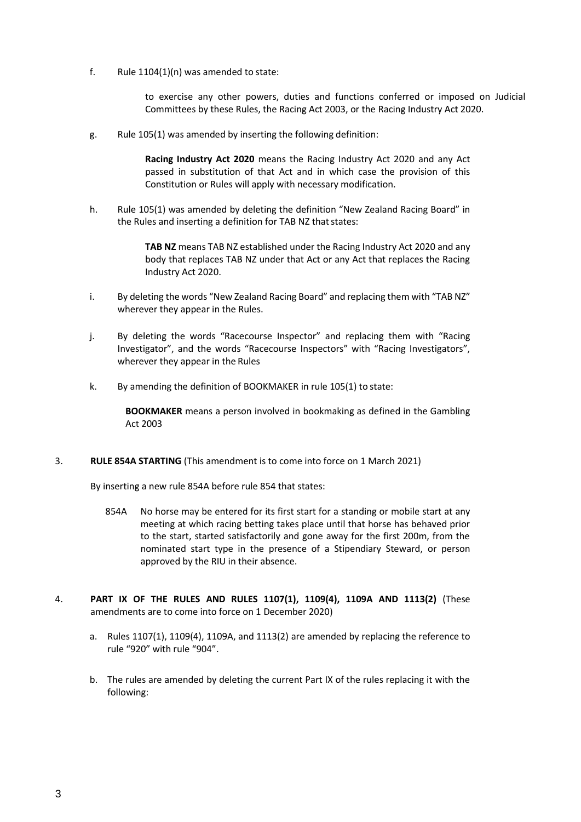f. Rule  $1104(1)(n)$  was amended to state:

to exercise any other powers, duties and functions conferred or imposed on Judicial Committees by these Rules, the Racing Act 2003, or the Racing Industry Act 2020.

g. Rule 105(1) was amended by inserting the following definition:

**Racing Industry Act 2020** means the Racing Industry Act 2020 and any Act passed in substitution of that Act and in which case the provision of this Constitution or Rules will apply with necessary modification.

h. Rule 105(1) was amended by deleting the definition "New Zealand Racing Board" in the Rules and inserting a definition for TAB NZ that states:

> **TAB NZ** means TAB NZ established under the Racing Industry Act 2020 and any body that replaces TAB NZ under that Act or any Act that replaces the Racing Industry Act 2020.

- i. By deleting the words "New Zealand Racing Board" and replacing them with "TAB NZ" wherever they appear in the Rules.
- j. By deleting the words "Racecourse Inspector" and replacing them with "Racing Investigator", and the words "Racecourse Inspectors" with "Racing Investigators", wherever they appear in the Rules
- k. By amending the definition of BOOKMAKER in rule 105(1) to state:

**BOOKMAKER** means a person involved in bookmaking as defined in the Gambling Act 2003

3. **RULE 854A STARTING** (This amendment is to come into force on 1 March 2021)

By inserting a new rule 854A before rule 854 that states:

- 854A No horse may be entered for its first start for a standing or mobile start at any meeting at which racing betting takes place until that horse has behaved prior to the start, started satisfactorily and gone away for the first 200m, from the nominated start type in the presence of a Stipendiary Steward, or person approved by the RIU in their absence.
- 4. **PART IX OF THE RULES AND RULES 1107(1), 1109(4), 1109A AND 1113(2)** (These amendments are to come into force on 1 December 2020)
	- a. Rules 1107(1), 1109(4), 1109A, and 1113(2) are amended by replacing the reference to rule "920" with rule "904".
	- b. The rules are amended by deleting the current Part IX of the rules replacing it with the following: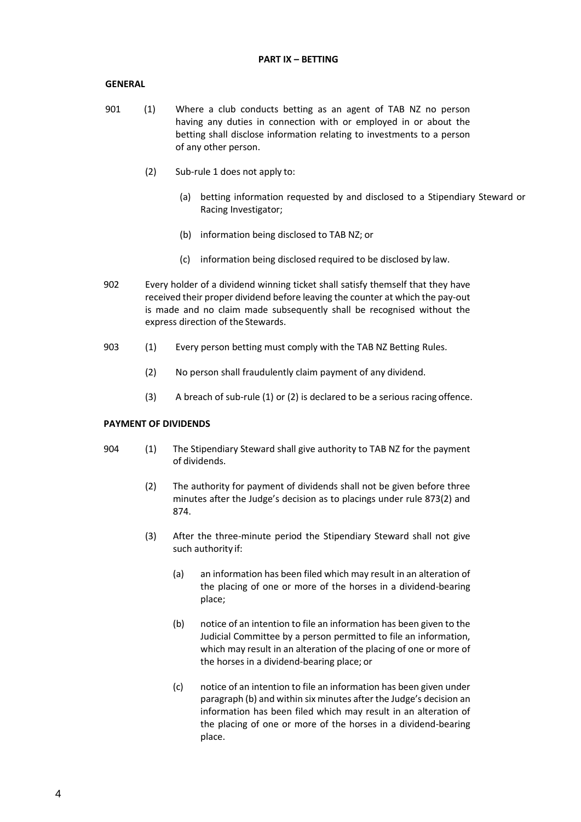#### **GENERAL**

- 901 (1) Where a club conducts betting as an agent of TAB NZ no person having any duties in connection with or employed in or about the betting shall disclose information relating to investments to a person of any other person.
	- (2) Sub-rule 1 does not apply to:
		- (a) betting information requested by and disclosed to a Stipendiary Steward or Racing Investigator;
		- (b) information being disclosed to TAB NZ; or
		- (c) information being disclosed required to be disclosed by law.
- 902 Every holder of a dividend winning ticket shall satisfy themself that they have received their proper dividend before leaving the counter at which the pay-out is made and no claim made subsequently shall be recognised without the express direction of the Stewards.
- 903 (1) Every person betting must comply with the TAB NZ Betting Rules.
	- (2) No person shall fraudulently claim payment of any dividend.
	- (3) A breach of sub-rule (1) or (2) is declared to be a serious racing offence.

#### **PAYMENT OF DIVIDENDS**

- 904 (1) The Stipendiary Steward shall give authority to TAB NZ for the payment of dividends.
	- (2) The authority for payment of dividends shall not be given before three minutes after the Judge's decision as to placings under rule 873(2) and 874.
	- (3) After the three-minute period the Stipendiary Steward shall not give such authority if:
		- (a) an information has been filed which may result in an alteration of the placing of one or more of the horses in a dividend-bearing place;
		- (b) notice of an intention to file an information has been given to the Judicial Committee by a person permitted to file an information, which may result in an alteration of the placing of one or more of the horses in a dividend-bearing place; or
		- (c) notice of an intention to file an information has been given under paragraph (b) and within six minutes after the Judge's decision an information has been filed which may result in an alteration of the placing of one or more of the horses in a dividend-bearing place.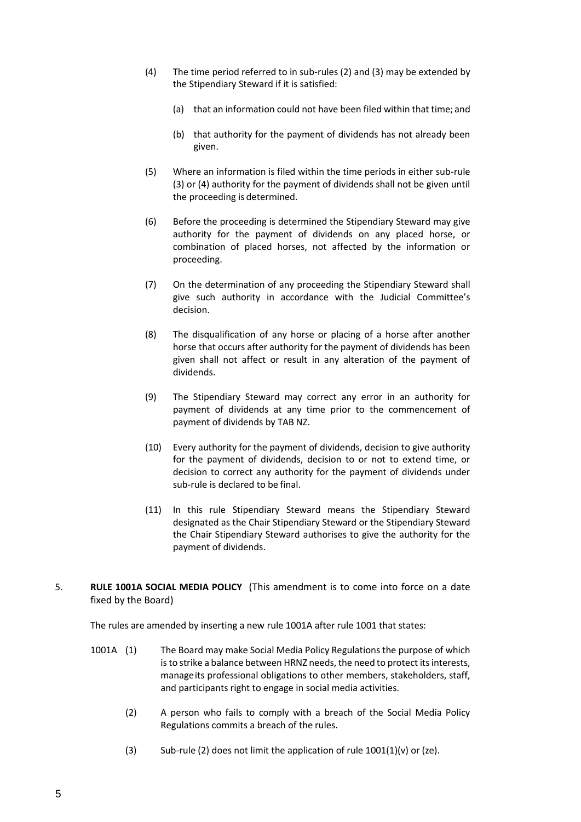- (4) The time period referred to in sub-rules (2) and (3) may be extended by the Stipendiary Steward if it is satisfied:
	- (a) that an information could not have been filed within that time; and
	- (b) that authority for the payment of dividends has not already been given.
- (5) Where an information is filed within the time periods in either sub-rule (3) or (4) authority for the payment of dividends shall not be given until the proceeding is determined.
- (6) Before the proceeding is determined the Stipendiary Steward may give authority for the payment of dividends on any placed horse, or combination of placed horses, not affected by the information or proceeding.
- (7) On the determination of any proceeding the Stipendiary Steward shall give such authority in accordance with the Judicial Committee's decision.
- (8) The disqualification of any horse or placing of a horse after another horse that occurs after authority for the payment of dividends has been given shall not affect or result in any alteration of the payment of dividends.
- (9) The Stipendiary Steward may correct any error in an authority for payment of dividends at any time prior to the commencement of payment of dividends by TAB NZ.
- (10) Every authority for the payment of dividends, decision to give authority for the payment of dividends, decision to or not to extend time, or decision to correct any authority for the payment of dividends under sub-rule is declared to be final.
- (11) In this rule Stipendiary Steward means the Stipendiary Steward designated as the Chair Stipendiary Steward or the Stipendiary Steward the Chair Stipendiary Steward authorises to give the authority for the payment of dividends.
- 5. **RULE 1001A SOCIAL MEDIA POLICY** (This amendment is to come into force on a date fixed by the Board)

The rules are amended by inserting a new rule 1001A after rule 1001 that states:

- 1001A (1) The Board may make Social Media Policy Regulations the purpose of which is to strike a balance between HRNZ needs, the need to protect its interests, manageits professional obligations to other members, stakeholders, staff, and participants right to engage in social media activities.
	- (2) A person who fails to comply with a breach of the Social Media Policy Regulations commits a breach of the rules.
	- (3) Sub-rule (2) does not limit the application of rule  $1001(1)(v)$  or (ze).